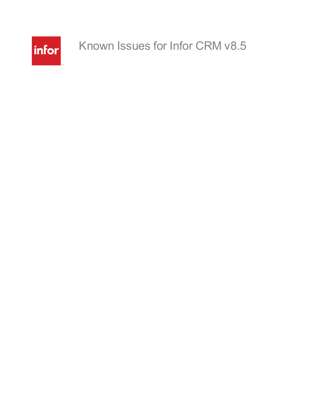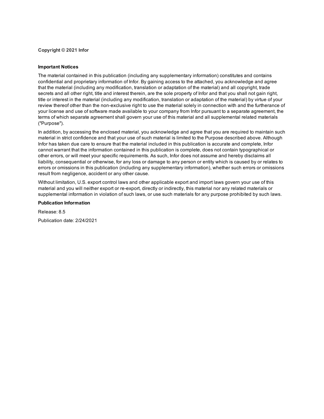**Copyright © 2021 Infor**

#### **Important Notices**

The material contained in this publication (including any supplementary information) constitutes and contains confidential and proprietary information of Infor. By gaining access to the attached, you acknowledge and agree that the material (including any modification, translation or adaptation of the material) and all copyright, trade secrets and all other right, title and interest therein, are the sole property of Infor and that you shall not gain right, title or interest in the material (including any modification, translation or adaptation of the material) by virtue of your review thereof other than the non-exclusive right to use the material solely in connection with and the furtherance of your license and use of software made available to your company from Infor pursuant to a separate agreement, the terms of which separate agreement shall govern your use of this material and all supplemental related materials ("Purpose").

In addition, by accessing the enclosed material, you acknowledge and agree that you are required to maintain such material in strict confidence and that your use of such material is limited to the Purpose described above. Although Infor has taken due care to ensure that the material included in this publication is accurate and complete, Infor cannot warrant that the information contained in this publication is complete, does not contain typographical or other errors, or will meet your specific requirements. As such, Infor does not assume and hereby disclaims all liability, consequential or otherwise, for any loss or damage to any person or entity which is caused by or relates to errors or omissions in this publication (including any supplementary information), whether such errors or omissions result from negligence, accident or any other cause.

Without limitation, U.S. export control laws and other applicable export and import laws govern your use of this material and you will neither export or re-export, directly or indirectly, this material nor any related materials or supplemental information in violation of such laws, or use such materials for any purpose prohibited by such laws.

#### **Publication Information**

Release: 8.5 Publication date: 2/24/2021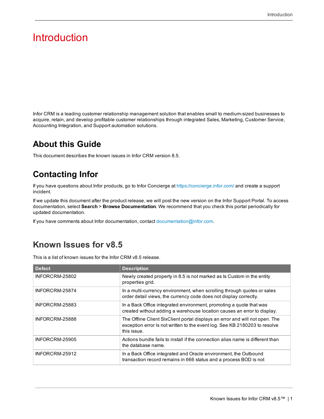# Introduction

Infor CRM is a leading customer relationship management solution that enables small to medium-sized businesses to acquire, retain, and develop profitable customer relationships through integrated Sales, Marketing, Customer Service, Accounting Integration, and Support automation solutions.

### **About this Guide**

This document describes the known issues in Infor CRM version 8.5.

## **Contacting Infor**

If you have questions about Infor products, go to Infor Concierge at [https://concierge.infor.com/](https://icp.cloud.infor.com/infor/0c859ff0-1676-4dd6-8712-2641ed1ee870?favoriteContext=%7B%22type%22%3A%22page%22%2C%22id%22%3A%221780b62e-dacb-4fae-b360-cda8ebd0be07%22%7D&LogicalId=lid://infor.homepages.1) and create a support incident.

If we update this document after the product release, we will post the new version on the Infor Support Portal. To access documentation, select **Search** > **Browse Documentation**. We recommend that you check this portal periodically for updated documentation.

If you have comments about Infor documentation, contact [documentation@infor.com.](mailto:documentation@inform.com)

### **Known Issues for v8.5**

This is a list of known issues for the Infor CRM v8.5 release.

| <b>Defect</b>  | <b>Description</b>                                                                                                                                                        |
|----------------|---------------------------------------------------------------------------------------------------------------------------------------------------------------------------|
| INFORCRM-25802 | Newly created property in 8.5 is not marked as Is Custom in the entity<br>properties grid.                                                                                |
| INFORCRM-25874 | In a multi-currency environment, when scrolling through guotes or sales<br>order detail views, the currency code does not display correctly.                              |
| INFORCRM-25883 | In a Back Office integrated environment, promoting a quote that was<br>created without adding a warehouse location causes an error to display.                            |
| INFORCRM-25888 | The Offline Client SIxClient portal displays an error and will not open. The<br>exception error Is not written to the event log. See KB 2180203 to resolve<br>this issue. |
| INFORCRM-25905 | Actions bundle fails to install if the connection alias name is different than<br>the database name.                                                                      |
| INFORCRM-25912 | In a Back Office integrated and Oracle environment, the Outbound<br>transaction record remains in 666 status and a process BOD is not                                     |